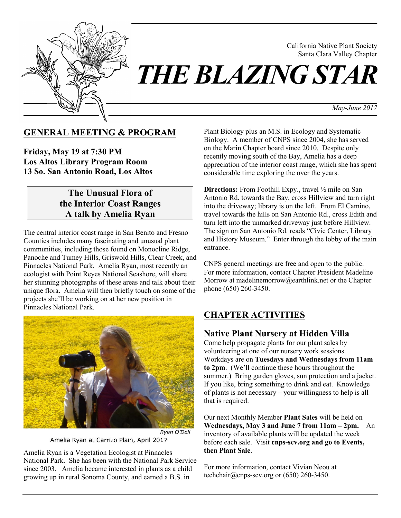

California Native Plant Society Santa Clara Valley Chapter

*May-June 2017*

#### **GENERAL MEETING & PROGRAM**

**Friday, May 19 at 7:30 PM Los Altos Library Program Room 13 So. San Antonio Road, Los Altos**

### **The Unusual Flora of the Interior Coast Ranges A talk by Amelia Ryan**

The central interior coast range in San Benito and Fresno Counties includes many fascinating and unusual plant communities, including those found on Monocline Ridge, Panoche and Tumey Hills, Griswold Hills, Clear Creek, and Pinnacles National Park. Amelia Ryan, most recently an ecologist with Point Reyes National Seashore, will share her stunning photographs of these areas and talk about their unique flora. Amelia will then briefly touch on some of the projects she'll be working on at her new position in Pinnacles National Park.



Amelia Ryan at Carrizo Plain, April 2017

Amelia Ryan is a Vegetation Ecologist at Pinnacles National Park. She has been with the National Park Service since 2003. Amelia became interested in plants as a child growing up in rural Sonoma County, and earned a B.S. in

Plant Biology plus an M.S. in Ecology and Systematic Biology. A member of CNPS since 2004, she has served on the Marin Chapter board since 2010. Despite only recently moving south of the Bay, Amelia has a deep appreciation of the interior coast range, which she has spent considerable time exploring the over the years.

**Directions:** From Foothill Expy., travel  $\frac{1}{2}$  mile on San Antonio Rd. towards the Bay, cross Hillview and turn right into the driveway; library is on the left. From El Camino, travel towards the hills on San Antonio Rd., cross Edith and turn left into the unmarked driveway just before Hillview. The sign on San Antonio Rd. reads "Civic Center, Library and History Museum." Enter through the lobby of the main entrance.

CNPS general meetings are free and open to the public. For more information, contact Chapter President Madeline Morrow at madelinemorrow@earthlink.net or the Chapter phone (650) 260-3450.

### **CHAPTER ACTIVITIES**

#### **Native Plant Nursery at Hidden Villa**

Come help propagate plants for our plant sales by volunteering at one of our nursery work sessions. Workdays are on **Tuesdays and Wednesdays from 11am to 2pm**. (We'll continue these hours throughout the summer.) Bring garden gloves, sun protection and a jacket. If you like, bring something to drink and eat. Knowledge of plants is not necessary – your willingness to help is all that is required.

Our next Monthly Member **Plant Sales** will be held on **Wednesdays, May 3 and June 7 from 11am – 2pm.** An inventory of available plants will be updated the week before each sale. Visit **cnps-scv.org and go to Events, then Plant Sale**.

For more information, contact Vivian Neou at techchair@cnps-scv.org or  $(650)$  260-3450.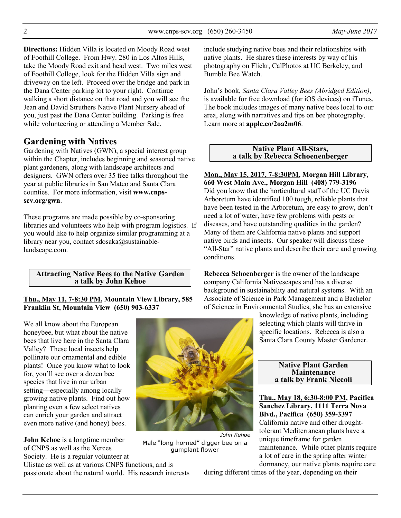2 www.cnps-scv.org (650) 260-3450 *May-June 2017*

**Directions:** Hidden Villa is located on Moody Road west of Foothill College. From Hwy. 280 in Los Altos Hills, take the Moody Road exit and head west. Two miles west of Foothill College, look for the Hidden Villa sign and driveway on the left. Proceed over the bridge and park in the Dana Center parking lot to your right. Continue walking a short distance on that road and you will see the Jean and David Struthers Native Plant Nursery ahead of you, just past the Dana Center building. Parking is free while volunteering or attending a Member Sale.

#### **Gardening with Natives**

Gardening with Natives (GWN), a special interest group within the Chapter, includes beginning and seasoned native plant gardeners, along with landscape architects and designers. GWN offers over 35 free talks throughout the year at public libraries in San Mateo and Santa Clara counties. For more information, visit **www.cnpsscv.org/gwn**.

These programs are made possible by co-sponsoring libraries and volunteers who help with program logistics. If you would like to help organize similar programming at a library near you, contact sdosaka@sustainablelandscape.com.

**Attracting Native Bees to the Native Garden a talk by John Kehoe** 

#### **Thu., May 11, 7-8:30 PM, Mountain View Library, 585 Franklin St, Mountain View (650) 903-6337**

We all know about the European honeybee, but what about the native bees that live here in the Santa Clara Valley? These local insects help pollinate our ornamental and edible plants! Once you know what to look for, you'll see over a dozen bee species that live in our urban setting—especially among locally growing native plants. Find out how planting even a few select natives can enrich your garden and attract even more native (and honey) bees.

**John Kehoe** is a longtime member of CNPS as well as the Xerces Society. He is a regular volunteer at

Ulistac as well as at various CNPS functions, and is passionate about the natural world. His research interests



Male "long-horned" digger bee on a qumplant flower

include studying native bees and their relationships with native plants. He shares these interests by way of his photography on Flickr, CalPhotos at UC Berkeley, and Bumble Bee Watch.

John's book, *Santa Clara Valley Bees (Abridged Edition)*, is available for free download (for iOS devices) on iTunes. The book includes images of many native bees local to our area, along with narratives and tips on bee photography. Learn more at **apple.co/2oa2m06**.

#### **Native Plant All-Stars, a talk by Rebecca Schoenenberger**

**Mon., May 15, 2017, 7-8:30PM, Morgan Hill Library, 660 West Main Ave., Morgan Hill (408) 779-3196**  Did you know that the horticultural staff of the UC Davis Arboretum have identified 100 tough, reliable plants that have been tested in the Arboretum, are easy to grow, don't need a lot of water, have few problems with pests or diseases, and have outstanding qualities in the garden? Many of them are California native plants and support native birds and insects. Our speaker will discuss these "All-Star" native plants and describe their care and growing conditions.

**Rebecca Schoenberger** is the owner of the landscape company California Nativescapes and has a diverse background in sustainability and natural systems. With an Associate of Science in Park Management and a Bachelor of Science in Environmental Studies, she has an extensive

> knowledge of native plants, including selecting which plants will thrive in specific locations. Rebecca is also a Santa Clara County Master Gardener.

> > **Native Plant Garden Maintenance a talk by Frank Niccoli**

**Thu., May 18, 6:30-8:00 PM, Pacifica Sanchez Library, 1111 Terra Nova Blvd., Pacifica (650) 359-3397** California native and other droughttolerant Mediterranean plants have a unique timeframe for garden maintenance. While other plants require a lot of care in the spring after winter dormancy, our native plants require care

during different times of the year, depending on their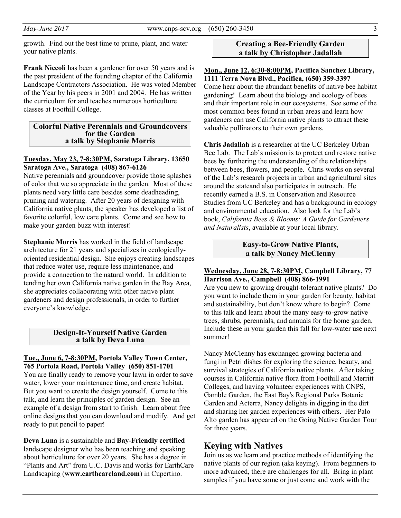growth. Find out the best time to prune, plant, and water your native plants.

**Frank Niccoli** has been a gardener for over 50 years and is the past president of the founding chapter of the California Landscape Contractors Association. He was voted Member of the Year by his peers in 2001 and 2004. He has written the curriculum for and teaches numerous horticulture classes at Foothill College.

#### **Colorful Native Perennials and Groundcovers for the Garden a talk by Stephanie Morris**

#### **Tuesday, May 23, 7-8:30PM, Saratoga Library, 13650 Saratoga Ave., Saratoga (408) 867-6126**

Native perennials and groundcover provide those splashes of color that we so appreciate in the garden. Most of these plants need very little care besides some deadheading, pruning and watering. After 20 years of designing with California native plants, the speaker has developed a list of favorite colorful, low care plants. Come and see how to make your garden buzz with interest!

**Stephanie Morris** has worked in the field of landscape architecture for 21 years and specializes in ecologicallyoriented residential design. She enjoys creating landscapes that reduce water use, require less maintenance, and provide a connection to the natural world. In addition to tending her own California native garden in the Bay Area, she appreciates collaborating with other native plant gardeners and design professionals, in order to further everyone's knowledge.

#### **Design-It-Yourself Native Garden a talk by Deva Luna**

#### **Tue., June 6, 7-8:30PM, Portola Valley Town Center, 765 Portola Road, Portola Valley (650) 851-1701**

You are finally ready to remove your lawn in order to save water, lower your maintenance time, and create habitat. But you want to create the design yourself. Come to this talk, and learn the principles of garden design. See an example of a design from start to finish. Learn about free online designs that you can download and modify. And get ready to put pencil to paper!

**Deva Luna** is a sustainable and **Bay-Friendly certified** landscape designer who has been teaching and speaking about horticulture for over 20 years. She has a degree in "Plants and Art" from U.C. Davis and works for EarthCare Landscaping (**www.earthcareland.com**) in Cupertino.

#### **Creating a Bee-Friendly Garden a talk by Christopher Jadallah**

#### **Mon., June 12, 6:30-8:00PM, Pacifica Sanchez Library, 1111 Terra Nova Blvd., Pacifica, (650) 359-3397**

Come hear about the abundant benefits of native bee habitat gardening! Learn about the biology and ecology of bees and their important role in our ecosystems. See some of the most common bees found in urban areas and learn how gardeners can use California native plants to attract these valuable pollinators to their own gardens.

**Chris Jadallah** is a researcher at the UC Berkeley Urban Bee Lab. The Lab's mission is to protect and restore native bees by furthering the understanding of the relationships between bees, flowers, and people. Chris works on several of the Lab's research projects in urban and agricultural sites around the stateand also participates in outreach. He recently earned a B.S. in Conservation and Resource Studies from UC Berkeley and has a background in ecology and environmental education. Also look for the Lab's book, *California Bees & Blooms: A Guide for Gardeners and Naturalists*, available at your local library.

#### **Easy-to-Grow Native Plants, a talk by Nancy McClenny**

#### **Wednesday, June 28, 7-8:30PM, Campbell Library, 77 Harrison Ave., Campbell (408) 866-1991**

Are you new to growing drought-tolerant native plants? Do you want to include them in your garden for beauty, habitat and sustainability, but don't know where to begin? Come to this talk and learn about the many easy-to-grow native trees, shrubs, perennials, and annuals for the home garden. Include these in your garden this fall for low-water use next summer!

Nancy McClenny has exchanged growing bacteria and fungi in Petri dishes for exploring the science, beauty, and survival strategies of California native plants. After taking courses in California native flora from Foothill and Merritt Colleges, and having volunteer experiences with CNPS, Gamble Garden, the East Bay's Regional Parks Botanic Garden and Acterra, Nancy delights in digging in the dirt and sharing her garden experiences with others. Her Palo Alto garden has appeared on the Going Native Garden Tour for three years.

### **Keying with Natives**

Join us as we learn and practice methods of identifying the native plants of our region (aka keying). From beginners to more advanced, there are challenges for all. Bring in plant samples if you have some or just come and work with the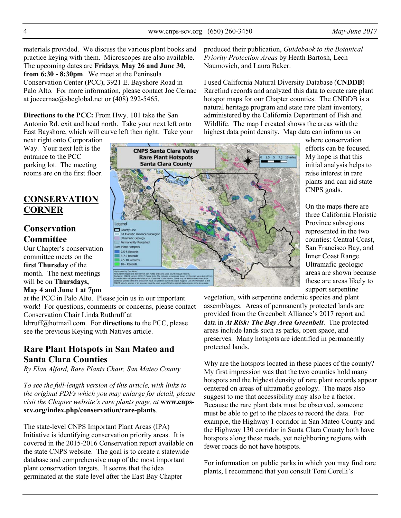4 www.cnps-scv.org (650) 260-3450 *May-June 2017*

materials provided. We discuss the various plant books and practice keying with them. Microscopes are also available. The upcoming dates are **Fridays**, **May 26 and June 30, from 6:30 - 8:30pm**. We meet at the Peninsula Conservation Center (PCC), 3921 E. Bayshore Road in Palo Alto. For more information, please contact Joe Cernac at joecernac@sbcglobal.net or (408) 292-5465.

**Directions to the PCC:** From Hwy. 101 take the San Antonio Rd. exit and head north. Take your next left onto East Bayshore, which will curve left then right. Take your

next right onto Corporation Way. Your next left is the entrance to the PCC parking lot. The meeting rooms are on the first floor.

# **CONSERVATION CORNER**

# **Conservation Committee**

Our Chapter's conservation committee meets on the **first Thursday** of the month. The next meetings will be on **Thursdays, May 4 and June 1 at 7pm**

at the PCC in Palo Alto. Please join us in our important work! For questions, comments or concerns, please contact Conservation Chair Linda Ruthruff at ldrruff@hotmail.com. For **directions** to the PCC, please

see the previous Keying with Natives article.

# **Rare Plant Hotspots in San Mateo and Santa Clara Counties**

*By Elan Alford, Rare Plants Chair, San Mateo County*

*To see the full-length version of this article, with links to the original PDFs which you may enlarge for detail, please*  visit the Chapter website's rare plants page, at **www.cnpsscv.org/index.php/conservation/rare-plants***.* 

The state-level CNPS Important Plant Areas (IPA) Initiative is identifying conservation priority areas. It is covered in the 2015-2016 Conservation report available on the state CNPS website. The goal is to create a statewide database and comprehensive map of the most important plant conservation targets. It seems that the idea germinated at the state level after the East Bay Chapter

produced their publication, *Guidebook to the Botanical Priority Protection Areas* by Heath Bartosh, Lech Naumovich, and Laura Baker.

I used California Natural Diversity Database (**CNDDB**) Rarefind records and analyzed this data to create rare plant hotspot maps for our Chapter counties. The CNDDB is a natural heritage program and state rare plant inventory, administered by the California Department of Fish and Wildlife. The map I created shows the areas with the highest data point density. Map data can inform us on

where conservation efforts can be focused. My hope is that this initial analysis helps to raise interest in rare plants and can aid state CNPS goals.

On the maps there are three California Floristic Province subregions represented in the two counties: Central Coast, San Francisco Bay, and Inner Coast Range. Ultramafic geologic areas are shown because these are areas likely to support serpentine

vegetation, with serpentine endemic species and plant assemblages. Areas of permanently protected lands are provided from the Greenbelt Alliance's 2017 report and data in *At Risk: The Bay Area Greenbelt*. The protected areas include lands such as parks, open space, and preserves. Many hotspots are identified in permanently protected lands.

Why are the hotspots located in these places of the county? My first impression was that the two counties hold many hotspots and the highest density of rare plant records appear centered on areas of ultramafic geology. The maps also suggest to me that accessibility may also be a factor. Because the rare plant data must be observed, someone must be able to get to the places to record the data. For example, the Highway 1 corridor in San Mateo County and the Highway 130 corridor in Santa Clara County both have hotspots along these roads, yet neighboring regions with fewer roads do not have hotspots.

For information on public parks in which you may find rare plants, I recommend that you consult Toni Corelli's

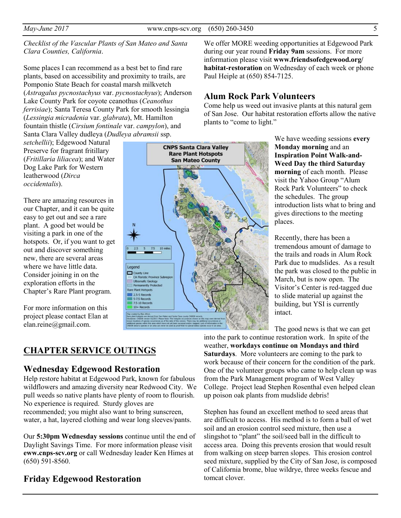Some places I can recommend as a best bet to find rare plants, based on accessibility and proximity to trails, are Pomponio State Beach for coastal marsh milkvetch (*Astragalus pycnostachyus* var. *pycnostachyus*); Anderson Lake County Park for coyote ceanothus (*Ceanothus ferrisiae*); Santa Teresa County Park for smooth lessingia (*Lessingia micradenia* var. *glabrata*), Mt. Hamilton fountain thistle (*Cirsium fontinale* var. *campylon*), and Santa Clara Valley dudleya (*Dudleya abramsii* ssp.

*setchellii*); Edgewood Natural Preserve for fragrant fritillary (*Fritillaria liliacea*); and Water Dog Lake Park for Western leatherwood (*Dirca occidentalis*).

There are amazing resources in our Chapter, and it can be quite easy to get out and see a rare plant. A good bet would be visiting a park in one of the hotspots. Or, if you want to get out and discover something new, there are several areas where we have little data. Consider joining in on the exploration efforts in the Chapter's Rare Plant program.

For more information on this project please contact Elan at elan.reine@gmail.com.



We offer MORE weeding opportunities at Edgewood Park during our year round **Friday 9am** sessions. For more information please visit **www.friendsofedgewood.org/ habitat-restoration** on Wednesday of each week or phone Paul Heiple at (650) 854-7125.

# **Alum Rock Park Volunteers**

Come help us weed out invasive plants at this natural gem of San Jose. Our habitat restoration efforts allow the native plants to "come to light."

> We have weeding sessions **every Monday morning** and an **Inspiration Point Walk-and-Weed Day the third Saturday morning** of each month. Please visit the Yahoo Group "Alum Rock Park Volunteers" to check the schedules. The group introduction lists what to bring and gives directions to the meeting places.

> Recently, there has been a tremendous amount of damage to the trails and roads in Alum Rock Park due to mudslides. As a result the park was closed to the public in March, but is now open. The Visitor's Center is red-tagged due to slide material up against the building, but YSI is currently intact.

The good news is that we can get

# **CHAPTER SERVICE OUTINGS**

#### **Wednesday Edgewood Restoration**

Help restore habitat at Edgewood Park, known for fabulous wildflowers and amazing diversity near Redwood City. We pull weeds so native plants have plenty of room to flourish. No experience is required. Sturdy gloves are recommended; you might also want to bring sunscreen, water, a hat, layered clothing and wear long sleeves/pants.

Our **5:30pm Wednesday sessions** continue until the end of Daylight Savings Time. For more information please visit **eww.cnps-scv.org** or call Wednesday leader Ken Himes at (650) 591-8560.

**Friday Edgewood Restoration** 

into the park to continue restoration work. In spite of the weather, **workdays continue on Mondays and third Saturdays**. More volunteers are coming to the park to work because of their concern for the condition of the park. One of the volunteer groups who came to help clean up was from the Park Management program of West Valley College. Project lead Stephen Rosenthal even helped clean up poison oak plants from mudslide debris!

Stephen has found an excellent method to seed areas that are difficult to access. His method is to form a ball of wet soil and an erosion control seed mixture, then use a slingshot to "plant" the soil/seed ball in the difficult to access area. Doing this prevents erosion that would result from walking on steep barren slopes. This erosion control seed mixture, supplied by the City of San Jose, is composed of California brome, blue wildrye, three weeks fescue and tomcat clover.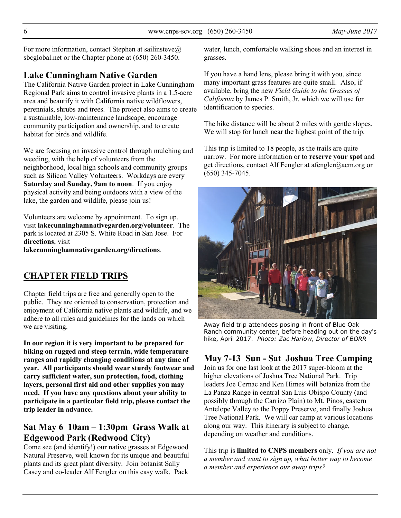For more information, contact Stephen at sailinsteve $\omega$ sbcglobal.net or the Chapter phone at (650) 260-3450.

# **Lake Cunningham Native Garden**

The California Native Garden project in Lake Cunningham Regional Park aims to control invasive plants in a 1.5-acre area and beautify it with California native wildflowers, perennials, shrubs and trees. The project also aims to create a sustainable, low-maintenance landscape, encourage community participation and ownership, and to create habitat for birds and wildlife.

We are focusing on invasive control through mulching and weeding, with the help of volunteers from the neighborhood, local high schools and community groups such as Silicon Valley Volunteers. Workdays are every **Saturday and Sunday, 9am to noon**. If you enjoy physical activity and being outdoors with a view of the lake, the garden and wildlife, please join us!

Volunteers are welcome by appointment. To sign up, visit **lakecunninghamnativegarden.org/volunteer**. The park is located at 2305 S. White Road in San Jose. For **directions**, visit

**lakecunninghamnativegarden.org/directions**.

# **CHAPTER FIELD TRIPS**

Chapter field trips are free and generally open to the public. They are oriented to conservation, protection and enjoyment of California native plants and wildlife, and we adhere to all rules and guidelines for the lands on which we are visiting.

**In our region it is very important to be prepared for hiking on rugged and steep terrain, wide temperature ranges and rapidly changing conditions at any time of year. All participants should wear sturdy footwear and carry sufficient water, sun protection, food, clothing layers, personal first aid and other supplies you may need. If you have any questions about your ability to participate in a particular field trip, please contact the trip leader in advance.** 

# **Sat May 6 10am – 1:30pm Grass Walk at Edgewood Park (Redwood City)**

Come see (and identify!) our native grasses at Edgewood Natural Preserve, well known for its unique and beautiful plants and its great plant diversity. Join botanist Sally Casey and co-leader Alf Fengler on this easy walk. Pack

water, lunch, comfortable walking shoes and an interest in grasses.

If you have a hand lens, please bring it with you, since many important grass features are quite small. Also, if available, bring the new *Field Guide to the Grasses of California* by James P. Smith, Jr. which we will use for identification to species.

The hike distance will be about 2 miles with gentle slopes. We will stop for lunch near the highest point of the trip.

This trip is limited to 18 people, as the trails are quite narrow. For more information or to **reserve your spot** and get directions, contact Alf Fengler at afengler@acm.org or (650) 345-7045.



Away field trip attendees posing in front of Blue Oak Ranch community center, before heading out on the day's hike, April 2017. *Photo: Zac Harlow, Director of BORR*

### **May 7-13 Sun - Sat Joshua Tree Camping**

Join us for one last look at the 2017 super-bloom at the higher elevations of Joshua Tree National Park. Trip leaders Joe Cernac and Ken Himes will botanize from the La Panza Range in central San Luis Obispo County (and possibly through the Carrizo Plain) to Mt. Pinos, eastern Antelope Valley to the Poppy Preserve, and finally Joshua Tree National Park. We will car camp at various locations along our way. This itinerary is subject to change, depending on weather and conditions.

This trip is **limited to CNPS members** only. *If you are not a member and want to sign up, what better way to become a member and experience our away trips?*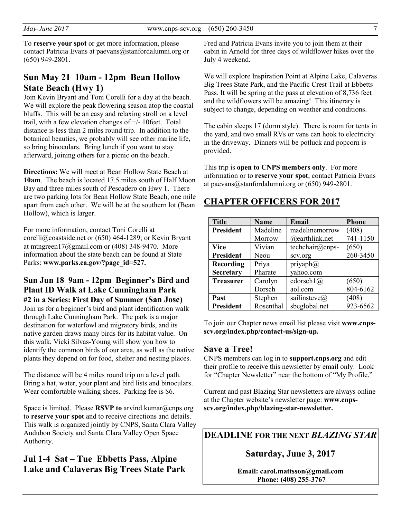To **reserve your spot** or get more information, please contact Patricia Evans at paevans@stanfordalumni.org or (650) 949-2801.

# **Sun May 21 10am - 12pm Bean Hollow State Beach (Hwy 1)**

Join Kevin Bryant and Toni Corelli for a day at the beach. We will explore the peak flowering season atop the coastal bluffs. This will be an easy and relaxing stroll on a level trail, with a few elevation changes of +/- 10feet. Total distance is less than 2 miles round trip. In addition to the botanical beauties, we probably will see other marine life, so bring binoculars. Bring lunch if you want to stay afterward, joining others for a picnic on the beach.

**Directions:** We will meet at Bean Hollow State Beach at **10am**. The beach is located 17.5 miles south of Half Moon Bay and three miles south of Pescadero on Hwy 1. There are two parking lots for Bean Hollow State Beach, one mile apart from each other. We will be at the southern lot (Bean Hollow), which is larger.

For more information, contact Toni Corelli at corelli@coastside.net or (650) 464-1289; or Kevin Bryant at mtngreen17@gmail.com or  $(408)$  348-9470. More information about the state beach can be found at State Parks: www.parks.ca.gov/?page\_id=527.

#### **Sun Jun 18 9am - 12pm Beginner's Bird and Plant ID Walk at Lake Cunningham Park #2 in a Series: First Day of Summer (San Jose)**

Join us for a beginner's bird and plant identification walk through Lake Cunningham Park. The park is a major destination for waterfowl and migratory birds, and its native garden draws many birds for its habitat value. On this walk, Vicki Silvas-Young will show you how to identify the common birds of our area, as well as the native plants they depend on for food, shelter and nesting places.

The distance will be 4 miles round trip on a level path. Bring a hat, water, your plant and bird lists and binoculars. Wear comfortable walking shoes. Parking fee is \$6.

Space is limited. Please **RSVP to** arvind.kumar@cnps.org to **reserve your spot** and to receive directions and details. This walk is organized jointly by CNPS, Santa Clara Valley Audubon Society and Santa Clara Valley Open Space Authority.

### **Jul 1-4 Sat – Tue Ebbetts Pass, Alpine Lake and Calaveras Big Trees State Park**

Fred and Patricia Evans invite you to join them at their cabin in Arnold for three days of wildflower hikes over the July 4 weekend.

We will explore Inspiration Point at Alpine Lake, Calaveras Big Trees State Park, and the Pacific Crest Trail at Ebbetts Pass. It will be spring at the pass at elevation of 8,736 feet and the wildflowers will be amazing! This itinerary is subject to change, depending on weather and conditions.

The cabin sleeps 17 (dorm style). There is room for tents in the yard, and two small RVs or vans can hook to electricity in the driveway. Dinners will be potluck and popcorn is provided.

This trip is **open to CNPS members only**. For more information or to **reserve your spot**, contact Patricia Evans at paevans@stanfordalumni.org or (650) 949-2801.

# **CHAPTER OFFICERS FOR 2017**

| <b>Title</b>     | <b>Name</b> | Email                | <b>Phone</b> |
|------------------|-------------|----------------------|--------------|
| <b>President</b> | Madeline    | madelinemorrow       | (408)        |
|                  | Morrow      | @earthlink.net       | 741-1150     |
| <b>Vice</b>      | Vivian      | techchair@cnps-      | (650)        |
| <b>President</b> | Neou        | scv.org              | 260-3450     |
| <b>Recording</b> | Priya       | $\text{priyaph}(a)$  |              |
| <b>Secretary</b> | Pharate     | vahoo.com            |              |
| <b>Treasurer</b> | Carolyn     | cdorsch1(a)          | (650)        |
|                  | Dorsch      | aol.com              | 804-6162     |
| Past             | Stephen     | sailinsteve $\omega$ | (408)        |
| <b>President</b> | Rosenthal   | sbcglobal.net        | 923-6562     |

To join our Chapter news email list please visit **www.cnpsscv.org/index.php/contact-us/sign-up.** 

#### **Save a Tree!**

CNPS members can log in to **support.cnps.org** and edit their profile to receive this newsletter by email only. Look for "Chapter Newsletter" near the bottom of "My Profile."

Current and past Blazing Star newsletters are always online at the Chapter website's newsletter page: **www.cnpsscv.org/index.php/blazing-star-newsletter.** 

**DEADLINE FOR THE NEXT** *BLAZING STAR* 

**Saturday, June 3, 2017** 

**Email: carol.mattsson@gmail.com Phone: (408) 255-3767**